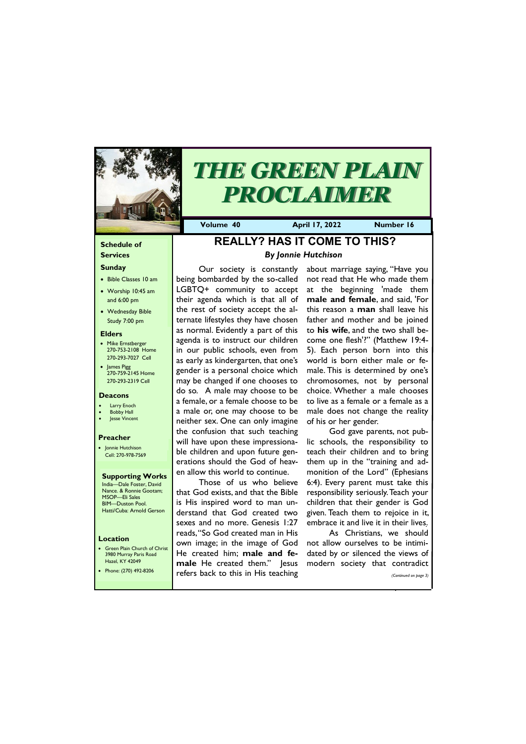### **Schedule of Services**

#### **Sunday**

- Bible Classes 10 am
- Worship 10:45 am and 6:00 pm
- Wednesday Bible Study 7:00 pm

• Green Plain Church of Christ 3980 Murray Paris Road  $H<sub>27</sub>ol$ , KY 42

#### **Elders**

- Mike Ernstberger 270-753-2108 Home 270-293-7027 Cell
- James Pigg 270-759-2145 Home 270-293-2319 Cell

#### **Location**



# *THE GREEN PLAIN PROCLAIMER*

**Volume 40 April 17, 2022 Number 16**

#### **Deacons**

- **Larry Enoch**
- **Bobby Hall** Jesse Vincent
- 

#### **Preacher**

• Jonnie Hutchison Cell: 270-978-7569

**Supporting Works** India—Dale Foster, David Nance. & Ronnie Gootam; MSOP—Eli Sales BIM—Duston Pool. Hatti/Cuba: Arnold Gerson

# **REALLY? HAS IT COME TO THIS?** *By Jonnie Hutchison*

Our society is constantly being bombarded by the so-called LGBTQ+ community to accept their agenda which is that all of the rest of society accept the alternate lifestyles they have chosen as normal. Evidently a part of this agenda is to instruct our children in our public schools, even from as early as kindergarten, that one's gender is a personal choice which may be changed if one chooses to do so. A male may choose to be a female, or a female choose to be a male or, one may choose to be neither sex. One can only imagine the confusion that such teaching will have upon these impressionable children and upon future generations should the God of heaven allow this world to continue.

Those of us who believe that God exists, and that the Bible is His inspired word to man understand that God created two sexes and no more. Genesis 1:27 reads, "So God created man in His own image; in the image of God He created him; **male and fe-**

| Hazel, KY 42049       | male He created them." Jesus modern society that contradict |  |  |                       |
|-----------------------|-------------------------------------------------------------|--|--|-----------------------|
| Phone: (270) 492-8206 | refers back to this in His teaching                         |  |  | (Continued on page 3) |
|                       |                                                             |  |  |                       |

about marriage saying, "Have you not read that He who made them at the beginning 'made them **male and female**, and said, 'For this reason a **man** shall leave his father and mother and be joined to **his wife**, and the two shall become one flesh'?" (Matthew 19:4- 5). Each person born into this world is born either male or female. This is determined by one's chromosomes, not by personal choice. Whether a male chooses to live as a female or a female as a male does not change the reality of his or her gender.

God gave parents, not public schools, the responsibility to teach their children and to bring them up in the "training and admonition of the Lord" (Ephesians 6:4). Every parent must take this responsibility seriously. Teach your children that their gender is God given. Teach them to rejoice in it, embrace it and live it in their lives.

As Christians, we should not allow ourselves to be intimidated by or silenced the views of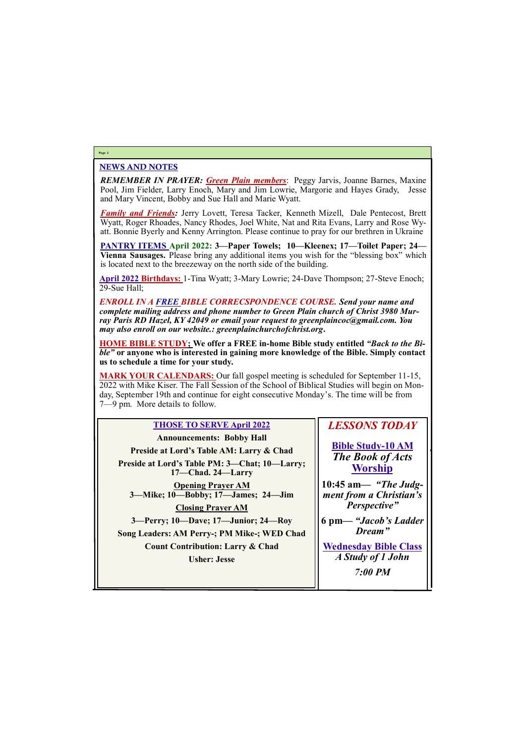# NEWS AND NOTES

*REMEMBER IN PRAYER: Green Plain members*: Peggy Jarvis, Joanne Barnes, Maxine Pool, Jim Fielder, Larry Enoch, Mary and Jim Lowrie, Margorie and Hayes Grady, Jesse and Mary Vincent, Bobby and Sue Hall and Marie Wyatt.

*Family and Friends:* Jerry Lovett, Teresa Tacker, Kenneth Mizell, Dale Pentecost, Brett Wyatt, Roger Rhoades, Nancy Rhodes, Joel White, Nat and Rita Evans, Larry and Rose Wyatt. Bonnie Byerly and Kenny Arrington. Please continue to pray for our brethren in Ukraine

**PANTRY ITEMS April 2022: 3—Paper Towels; 10—Kleenex; 17—Toilet Paper; 24— Vienna Sausages.** Please bring any additional items you wish for the "blessing box" which is located next to the breezeway on the north side of the building.

**April 2022 Birthdays:** 1-Tina Wyatt; 3-Mary Lowrie; 24-Dave Thompson; 27-Steve Enoch; 29-Sue Hall;

*ENROLL IN A FREE BIBLE CORRECSPONDENCE COURSE. Send your name and complete mailing address and phone number to Green Plain church of Christ 3980 Murray Paris RD Hazel, KY 42049 or email your request to greenplaincoc@gmail.com. You may also enroll on our website.: greenplainchurchofchrist.org***.**

**HOME BIBLE STUDY; We offer a FREE in-home Bible study entitled** *"Back to the Bible"* **or anyone who is interested in gaining more knowledge of the Bible. Simply contact us to schedule a time for your study.**

**MARK YOUR CALENDARS:** Our fall gospel meeting is scheduled for September 11-15, 2022 with Mike Kiser. The Fall Session of the School of Biblical Studies will begin on Monday, September 19th and continue for eight consecutive Monday's. The time will be from 7—9 pm. More details to follow.

## **Page 2**

# **THOSE TO SERVE April 2022**

| <b>Announcements: Bobby Hall</b>                                   |   |
|--------------------------------------------------------------------|---|
| Preside at Lord's Table AM: Larry & Chad                           |   |
| Preside at Lord's Table PM: 3-Chat; 10-Larry;<br>17-Chad. 24-Larry |   |
| <b>Opening Prayer AM</b><br>3—Mike; 10—Bobby; 17—James; 24—Jim     |   |
| <b>Closing Prayer AM</b>                                           |   |
| 3—Perry; 10—Dave; 17—Junior; 24—Roy                                | 6 |
| Song Leaders: AM Perry-; PM Mike-; WED Chad                        |   |
| <b>Count Contribution: Larry &amp; Chad</b>                        |   |
| <b>Usher: Jesse</b>                                                |   |

# *LESSONS TODAY*

**Bible Study-10 AM** *The Book of Acts* **Worship**

**10:45 am***— "The Judgment from a Christian's Perspective"*

**6 pm—** *"Jacob's Ladder Dream"*

**Wednesday Bible Class** *A Study of 1 John*

| __<br>__<br>7:00 PM |
|---------------------|
|                     |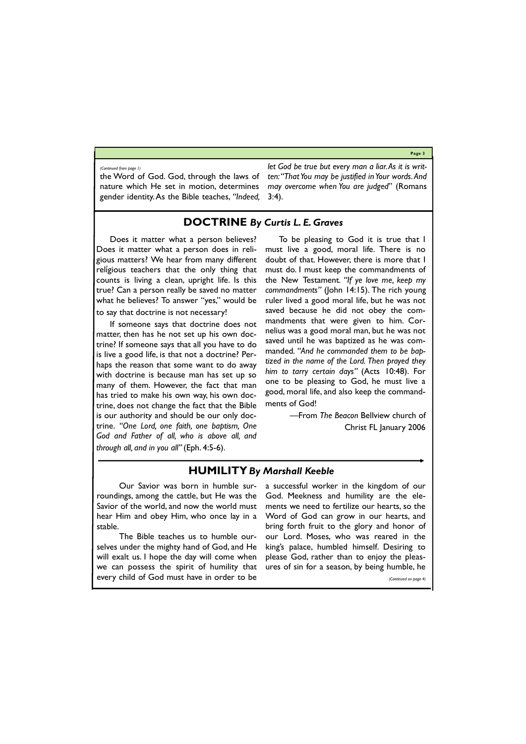**Page 3**

the Word of God. God, through the laws of nature which He set in motion, determines gender identity. As the Bible teaches, *"Indeed,* 

*let God be true but every man a liar. As it is written: "That You may be justified in Your words. And may overcome when You are judged*" (Romans 3:4).

*(Continued from page 1)*

# **DOCTRINE** *By Curtis L. E. Graves*

Does it matter what a person believes? Does it matter what a person does in religious matters? We hear from many different religious teachers that the only thing that counts is living a clean, upright life. Is this true? Can a person really be saved no matter what he believes? To answer "yes," would be to say that doctrine is not necessary!

If someone says that doctrine does not matter, then has he not set up his own doctrine? If someone says that all you have to do is live a good life, is that not a doctrine? Perhaps the reason that some want to do away with doctrine is because man has set up so many of them. However, the fact that man has tried to make his own way, his own doctrine, does not change the fact that the Bible is our authority and should be our only doctrine. *"One Lord, one faith, one baptism, One God and Father of all, who is above all, and through all, and in you all"* (Eph. 4:5-6).

To be pleasing to God it is true that I must live a good, moral life. There is no doubt of that. However, there is more that I must do. I must keep the commandments of the New Testament*. "If ye love me, keep my commandments"* (John 14:15). The rich young ruler lived a good moral life, but he was not saved because he did not obey the commandments that were given to him. Cornelius was a good moral man, but he was not saved until he was baptized as he was commanded*. "And he commanded them to be baptized in the name of the Lord. Then prayed they him to tarry certain days"* (Acts 10:48). For one to be pleasing to God, he must live a good, moral life, and also keep the commandments of God!

> —From *The Beacon* Bellview church of Christ FL January 2006

# **HUMILITY** *By Marshall Keeble*

Our Savior was born in humble surroundings, among the cattle, but He was the Savior of the world, and now the world must hear Him and obey Him, who once lay in a stable.

The Bible teaches us to humble ourselves under the mighty hand of God, and He will exalt us. I hope the day will come when

we can possess the spirit of humility that ures of sin for a season, by being humble, he every child of God must have in order to be *(Continued on page 4)*

a successful worker in the kingdom of our God. Meekness and humility are the elements we need to fertilize our hearts, so the Word of God can grow in our hearts, and bring forth fruit to the glory and honor of our Lord. Moses, who was reared in the king's palace, humbled himself. Desiring to please God, rather than to enjoy the pleas